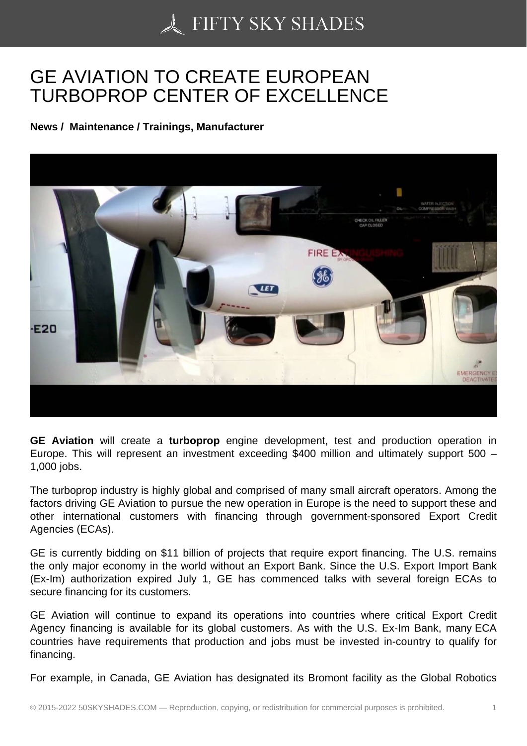## [GE AVIATION TO CRE](https://50skyshades.com)ATE EUROPEAN TURBOPROP CENTER OF EXCELLENCE

News / Maintenance / Trainings, Manufacturer

GE Aviation will create a turboprop engine development, test and production operation in Europe. This will represent an investment exceeding \$400 million and ultimately support 500 – 1,000 jobs.

The turboprop industry is highly global and comprised of many small aircraft operators. Among the factors driving GE Aviation to pursue the new operation in Europe is the need to support these and other international customers with financing through government-sponsored Export Credit Agencies (ECAs).

GE is currently bidding on \$11 billion of projects that require export financing. The U.S. remains the only major economy in the world without an Export Bank. Since the U.S. Export Import Bank (Ex-Im) authorization expired July 1, GE has commenced talks with several foreign ECAs to secure financing for its customers.

GE Aviation will continue to expand its operations into countries where critical Export Credit Agency financing is available for its global customers. As with the U.S. Ex-Im Bank, many ECA countries have requirements that production and jobs must be invested in-country to qualify for financing.

For example, in Canada, GE Aviation has designated its Bromont facility as the Global Robotics